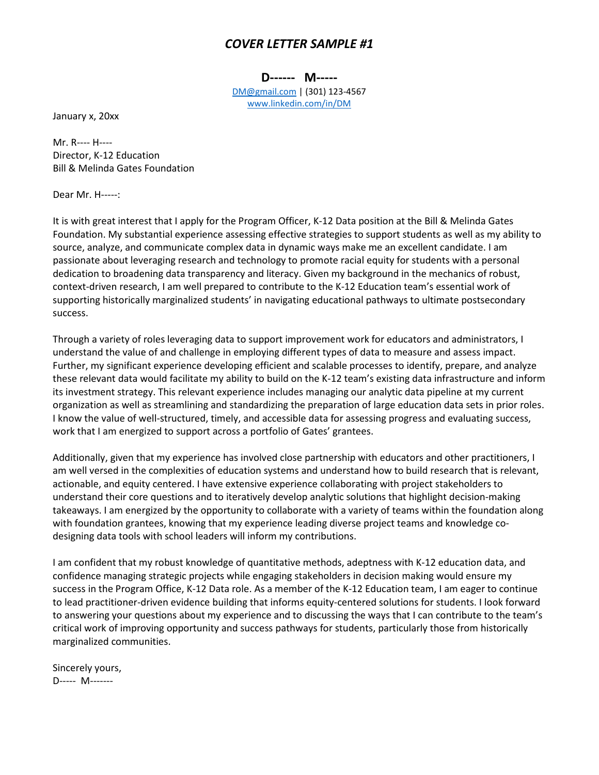## *COVER LETTER SAMPLE #1*

**D------ M-----**

[DM@gmail.com](mailto:DM@gmail.com) | (301) 123-4567 [www.linkedin.com/in/DM](http://www.linkedin.com/in/DM)

January x, 20xx

Mr. R---- H---- Director, K-12 Education Bill & Melinda Gates Foundation

Dear Mr. H-----:

It is with great interest that I apply for the Program Officer, K-12 Data position at the Bill & Melinda Gates Foundation. My substantial experience assessing effective strategies to support students as well as my ability to source, analyze, and communicate complex data in dynamic ways make me an excellent candidate. I am passionate about leveraging research and technology to promote racial equity for students with a personal dedication to broadening data transparency and literacy. Given my background in the mechanics of robust, context-driven research, I am well prepared to contribute to the K-12 Education team's essential work of supporting historically marginalized students' in navigating educational pathways to ultimate postsecondary success.

Through a variety of roles leveraging data to support improvement work for educators and administrators, I understand the value of and challenge in employing different types of data to measure and assess impact. Further, my significant experience developing efficient and scalable processes to identify, prepare, and analyze these relevant data would facilitate my ability to build on the K-12 team's existing data infrastructure and inform its investment strategy. This relevant experience includes managing our analytic data pipeline at my current organization as well as streamlining and standardizing the preparation of large education data sets in prior roles. I know the value of well-structured, timely, and accessible data for assessing progress and evaluating success, work that I am energized to support across a portfolio of Gates' grantees.

Additionally, given that my experience has involved close partnership with educators and other practitioners, I am well versed in the complexities of education systems and understand how to build research that is relevant, actionable, and equity centered. I have extensive experience collaborating with project stakeholders to understand their core questions and to iteratively develop analytic solutions that highlight decision-making takeaways. I am energized by the opportunity to collaborate with a variety of teams within the foundation along with foundation grantees, knowing that my experience leading diverse project teams and knowledge codesigning data tools with school leaders will inform my contributions.

I am confident that my robust knowledge of quantitative methods, adeptness with K-12 education data, and confidence managing strategic projects while engaging stakeholders in decision making would ensure my success in the Program Office, K-12 Data role. As a member of the K-12 Education team, I am eager to continue to lead practitioner-driven evidence building that informs equity-centered solutions for students. I look forward to answering your questions about my experience and to discussing the ways that I can contribute to the team's critical work of improving opportunity and success pathways for students, particularly those from historically marginalized communities.

Sincerely yours, D----- M-------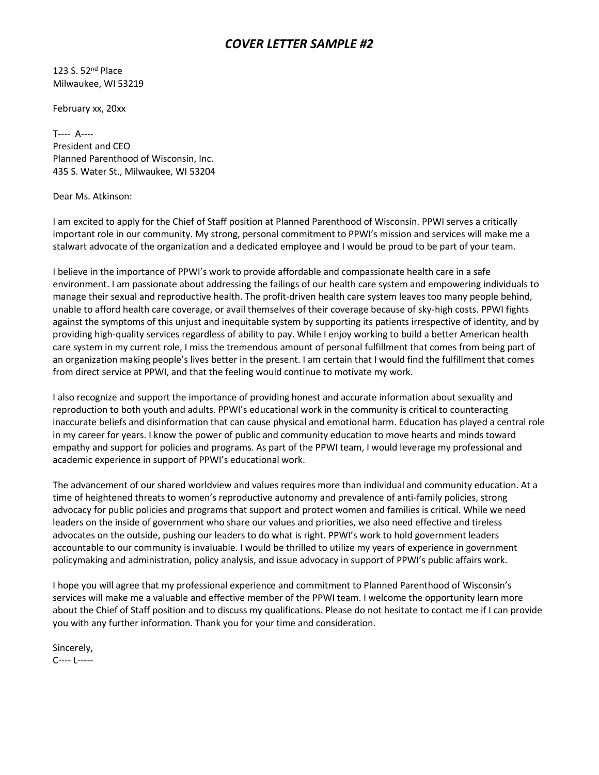## *COVER LETTER SAMPLE #2*

123 S. 52nd Place Milwaukee, WI 53219

February xx, 20xx

T---- A---- President and CEO Planned Parenthood of Wisconsin, Inc. 435 S. Water St., Milwaukee, WI 53204

Dear Ms. Atkinson:

I am excited to apply for the Chief of Staff position at Planned Parenthood of Wisconsin. PPWI serves a critically important role in our community. My strong, personal commitment to PPWI's mission and services will make me a stalwart advocate of the organization and a dedicated employee and I would be proud to be part of your team.

I believe in the importance of PPWI's work to provide affordable and compassionate health care in a safe environment. I am passionate about addressing the failings of our health care system and empowering individuals to manage their sexual and reproductive health. The profit-driven health care system leaves too many people behind, unable to afford health care coverage, or avail themselves of their coverage because of sky-high costs. PPWI fights against the symptoms of this unjust and inequitable system by supporting its patients irrespective of identity, and by providing high-quality services regardless of ability to pay. While I enjoy working to build a better American health care system in my current role, I miss the tremendous amount of personal fulfillment that comes from being part of an organization making people's lives better in the present. I am certain that I would find the fulfillment that comes from direct service at PPWI, and that the feeling would continue to motivate my work.

I also recognize and support the importance of providing honest and accurate information about sexuality and reproduction to both youth and adults. PPWI's educational work in the community is critical to counteracting inaccurate beliefs and disinformation that can cause physical and emotional harm. Education has played a central role in my career for years. I know the power of public and community education to move hearts and minds toward empathy and support for policies and programs. As part of the PPWI team, I would leverage my professional and academic experience in support of PPWI's educational work.

The advancement of our shared worldview and values requires more than individual and community education. At a time of heightened threats to women's reproductive autonomy and prevalence of anti-family policies, strong advocacy for public policies and programs that support and protect women and families is critical. While we need leaders on the inside of government who share our values and priorities, we also need effective and tireless advocates on the outside, pushing our leaders to do what is right. PPWI's work to hold government leaders accountable to our community is invaluable. I would be thrilled to utilize my years of experience in government policymaking and administration, policy analysis, and issue advocacy in support of PPWI's public affairs work.

I hope you will agree that my professional experience and commitment to Planned Parenthood of Wisconsin's services will make me a valuable and effective member of the PPWI team. I welcome the opportunity learn more about the Chief of Staff position and to discuss my qualifications. Please do not hesitate to contact me if I can provide you with any further information. Thank you for your time and consideration.

Sincerely, C---- L-----